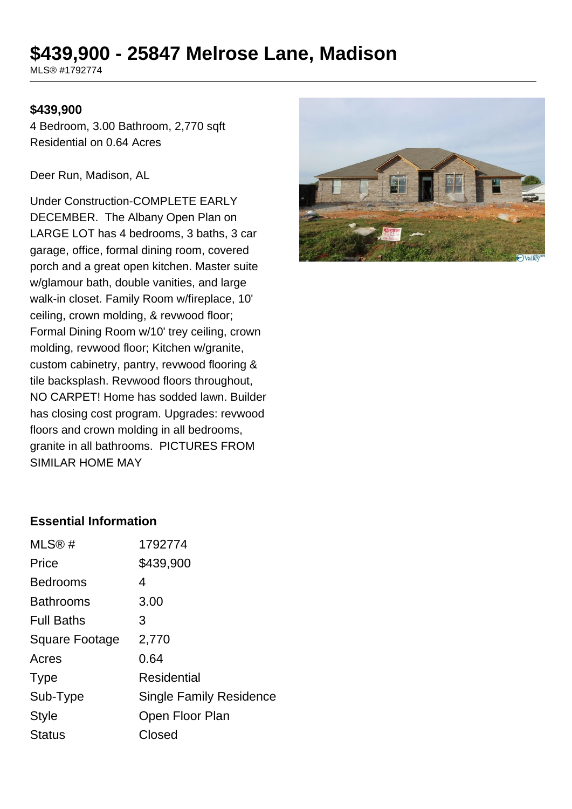# **\$439,900 - 25847 Melrose Lane, Madison**

MLS® #1792774

#### **\$439,900**

4 Bedroom, 3.00 Bathroom, 2,770 sqft Residential on 0.64 Acres

Deer Run, Madison, AL

Under Construction-COMPLETE EARLY DECEMBER. The Albany Open Plan on LARGE LOT has 4 bedrooms, 3 baths, 3 car garage, office, formal dining room, covered porch and a great open kitchen. Master suite w/glamour bath, double vanities, and large walk-in closet. Family Room w/fireplace, 10' ceiling, crown molding, & revwood floor; Formal Dining Room w/10' trey ceiling, crown molding, revwood floor; Kitchen w/granite, custom cabinetry, pantry, revwood flooring & tile backsplash. Revwood floors throughout, NO CARPET! Home has sodded lawn. Builder has closing cost program. Upgrades: revwood floors and crown molding in all bedrooms, granite in all bathrooms. PICTURES FROM SIMILAR HOME MAY



#### **Essential Information**

| MLS@#             | 1792774                        |
|-------------------|--------------------------------|
| Price             | \$439,900                      |
| <b>Bedrooms</b>   | 4                              |
| <b>Bathrooms</b>  | 3.00                           |
| <b>Full Baths</b> | 3                              |
| Square Footage    | 2,770                          |
| Acres             | 0.64                           |
| <b>Type</b>       | Residential                    |
| Sub-Type          | <b>Single Family Residence</b> |
| <b>Style</b>      | Open Floor Plan                |
| <b>Status</b>     | Closed                         |